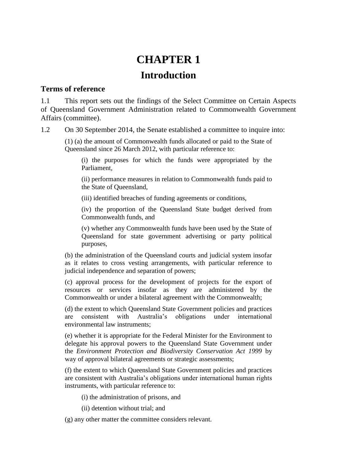# **CHAPTER 1 Introduction**

#### **Terms of reference**

1.1 This report sets out the findings of the Select Committee on Certain Aspects of Queensland Government Administration related to Commonwealth Government Affairs (committee).

1.2 On 30 September 2014, the Senate established a committee to inquire into:

(1) (a) the amount of Commonwealth funds allocated or paid to the State of Queensland since 26 March 2012, with particular reference to:

(i) the purposes for which the funds were appropriated by the Parliament,

(ii) performance measures in relation to Commonwealth funds paid to the State of Queensland,

(iii) identified breaches of funding agreements or conditions,

(iv) the proportion of the Queensland State budget derived from Commonwealth funds, and

(v) whether any Commonwealth funds have been used by the State of Queensland for state government advertising or party political purposes,

(b) the administration of the Queensland courts and judicial system insofar as it relates to cross vesting arrangements, with particular reference to judicial independence and separation of powers;

(c) approval process for the development of projects for the export of resources or services insofar as they are administered by the Commonwealth or under a bilateral agreement with the Commonwealth;

(d) the extent to which Queensland State Government policies and practices are consistent with Australia's obligations under international environmental law instruments;

(e) whether it is appropriate for the Federal Minister for the Environment to delegate his approval powers to the Queensland State Government under the *Environment Protection and Biodiversity Conservation Act 1999* by way of approval bilateral agreements or strategic assessments;

(f) the extent to which Queensland State Government policies and practices are consistent with Australia's obligations under international human rights instruments, with particular reference to:

(i) the administration of prisons, and

(ii) detention without trial; and

(g) any other matter the committee considers relevant.